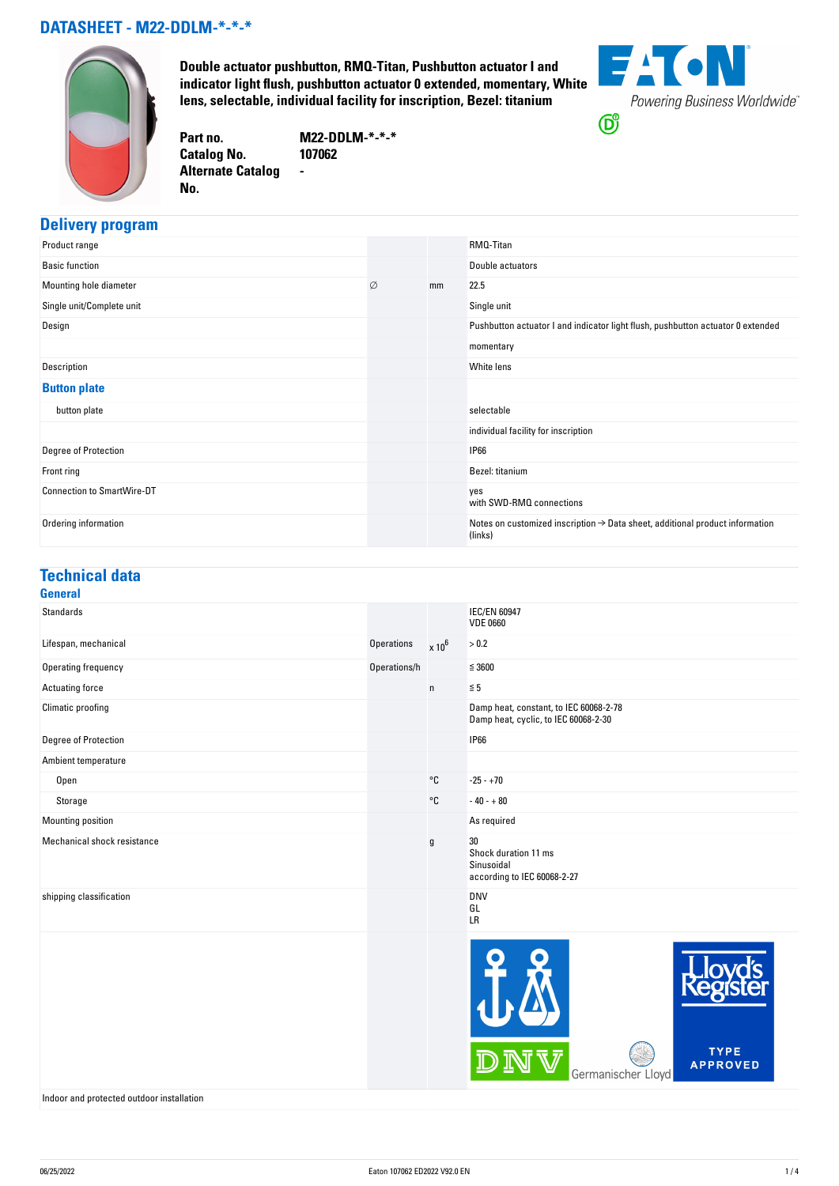#### **DATASHEET - M22-DDLM-\*-\*-\***



**Double actuator pushbutton, RMQ-Titan, Pushbutton actuator I and indicator light flush, pushbutton actuator 0 extended, momentary, White lens, selectable, individual facility for inscription, Bezel: titanium**



**Part no. M22-DDLM-\*-\*-\* Catalog No. Alternate Catalog No. -**

### **Delivery program**

| Product range                     |   |    | RMQ-Titan                                                                                           |
|-----------------------------------|---|----|-----------------------------------------------------------------------------------------------------|
| <b>Basic function</b>             |   |    | Double actuators                                                                                    |
| Mounting hole diameter            | Ø | mm | 22.5                                                                                                |
| Single unit/Complete unit         |   |    | Single unit                                                                                         |
| Design                            |   |    | Pushbutton actuator I and indicator light flush, pushbutton actuator 0 extended                     |
|                                   |   |    | momentary                                                                                           |
| Description                       |   |    | White lens                                                                                          |
| <b>Button plate</b>               |   |    |                                                                                                     |
| button plate                      |   |    | selectable                                                                                          |
|                                   |   |    | individual facility for inscription                                                                 |
| Degree of Protection              |   |    | <b>IP66</b>                                                                                         |
| Front ring                        |   |    | Bezel: titanium                                                                                     |
| <b>Connection to SmartWire-DT</b> |   |    | yes<br>with SWD-RMQ connections                                                                     |
| Ordering information              |   |    | Notes on customized inscription $\rightarrow$ Data sheet, additional product information<br>(links) |

### **Technical data**

| <b>General</b>              |              |                   |                                                                                |
|-----------------------------|--------------|-------------------|--------------------------------------------------------------------------------|
| <b>Standards</b>            |              |                   | <b>IEC/EN 60947</b><br><b>VDE 0660</b>                                         |
| Lifespan, mechanical        | Operations   | $x 10^6$          | > 0.2                                                                          |
| Operating frequency         | Operations/h |                   | $\leq 3600$                                                                    |
| Actuating force             |              | $\mathsf{n}$      | $\leq 5$                                                                       |
| Climatic proofing           |              |                   | Damp heat, constant, to IEC 60068-2-78<br>Damp heat, cyclic, to IEC 60068-2-30 |
| Degree of Protection        |              |                   | <b>IP66</b>                                                                    |
| Ambient temperature         |              |                   |                                                                                |
| Open                        |              | $^{\circ}{\tt C}$ | $-25 - +70$                                                                    |
| Storage                     |              | $^{\circ}$ C      | $-40 - +80$                                                                    |
| Mounting position           |              |                   | As required                                                                    |
| Mechanical shock resistance |              | g                 | 30<br>Shock duration 11 ms<br>Sinusoidal<br>according to IEC 60068-2-27        |
| shipping classification     |              |                   | <b>DNV</b><br>GL<br>LR                                                         |
|                             |              |                   | <b>TYPE</b><br><b>APPROVED</b><br>Germanischer Lloyd                           |

Indoor and protected outdoor installation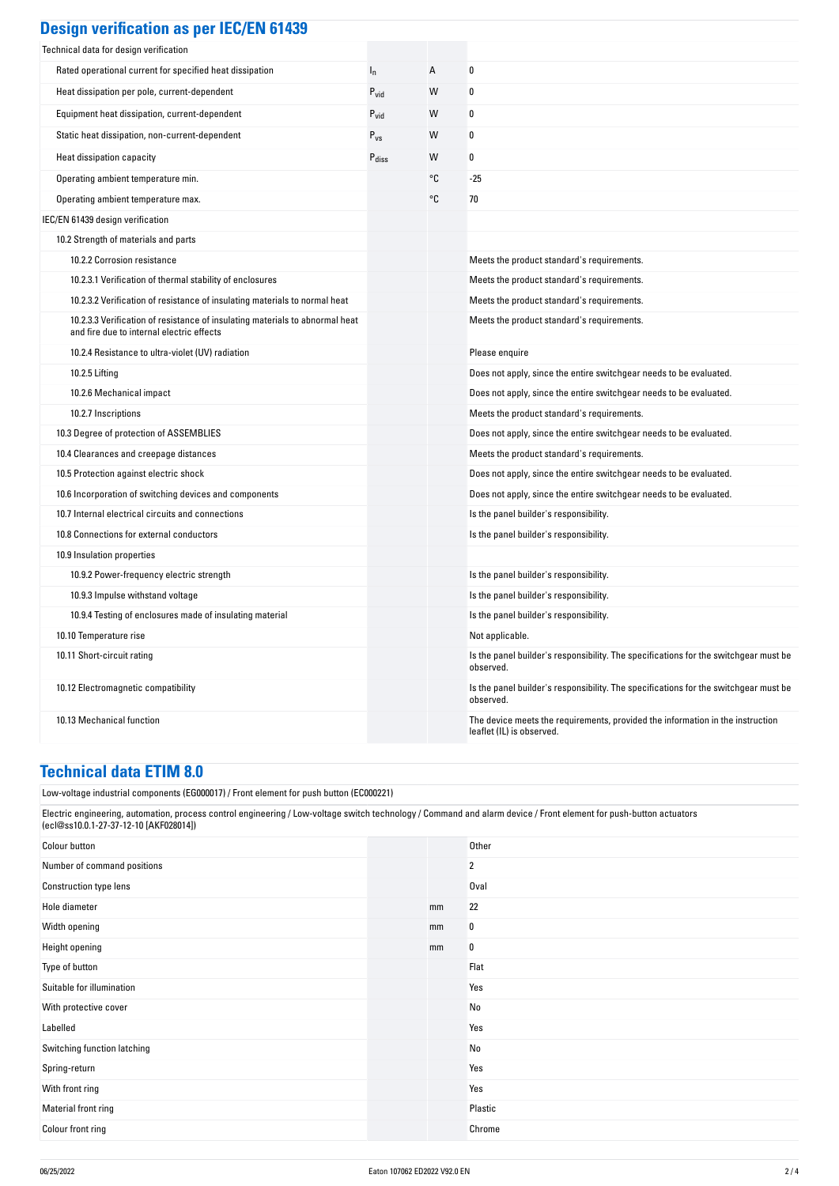| <b>Design verification as per IEC/EN 61439</b> |  |  |
|------------------------------------------------|--|--|
|                                                |  |  |

| Technical data for design verification                                                                                    |                   |    |                                                                                                             |
|---------------------------------------------------------------------------------------------------------------------------|-------------------|----|-------------------------------------------------------------------------------------------------------------|
| Rated operational current for specified heat dissipation                                                                  | $I_{n}$           | А  | 0                                                                                                           |
| Heat dissipation per pole, current-dependent                                                                              | $P_{\text{vid}}$  | W  | 0                                                                                                           |
| Equipment heat dissipation, current-dependent                                                                             | $P_{\text{vid}}$  | W  | 0                                                                                                           |
| Static heat dissipation, non-current-dependent                                                                            | $P_{\rm VS}$      | W  | 0                                                                                                           |
| Heat dissipation capacity                                                                                                 | $P_{\text{diss}}$ | W  | 0                                                                                                           |
| Operating ambient temperature min.                                                                                        |                   | °C | $-25$                                                                                                       |
| Operating ambient temperature max.                                                                                        |                   | °C | 70                                                                                                          |
| IEC/EN 61439 design verification                                                                                          |                   |    |                                                                                                             |
| 10.2 Strength of materials and parts                                                                                      |                   |    |                                                                                                             |
| 10.2.2 Corrosion resistance                                                                                               |                   |    | Meets the product standard's requirements.                                                                  |
| 10.2.3.1 Verification of thermal stability of enclosures                                                                  |                   |    | Meets the product standard's requirements.                                                                  |
| 10.2.3.2 Verification of resistance of insulating materials to normal heat                                                |                   |    | Meets the product standard's requirements.                                                                  |
| 10.2.3.3 Verification of resistance of insulating materials to abnormal heat<br>and fire due to internal electric effects |                   |    | Meets the product standard's requirements.                                                                  |
| 10.2.4 Resistance to ultra-violet (UV) radiation                                                                          |                   |    | Please enquire                                                                                              |
| 10.2.5 Lifting                                                                                                            |                   |    | Does not apply, since the entire switchgear needs to be evaluated.                                          |
| 10.2.6 Mechanical impact                                                                                                  |                   |    | Does not apply, since the entire switchgear needs to be evaluated.                                          |
| 10.2.7 Inscriptions                                                                                                       |                   |    | Meets the product standard's requirements.                                                                  |
| 10.3 Degree of protection of ASSEMBLIES                                                                                   |                   |    | Does not apply, since the entire switchgear needs to be evaluated.                                          |
| 10.4 Clearances and creepage distances                                                                                    |                   |    | Meets the product standard's requirements.                                                                  |
| 10.5 Protection against electric shock                                                                                    |                   |    | Does not apply, since the entire switchgear needs to be evaluated.                                          |
| 10.6 Incorporation of switching devices and components                                                                    |                   |    | Does not apply, since the entire switchgear needs to be evaluated.                                          |
| 10.7 Internal electrical circuits and connections                                                                         |                   |    | Is the panel builder's responsibility.                                                                      |
| 10.8 Connections for external conductors                                                                                  |                   |    | Is the panel builder's responsibility.                                                                      |
| 10.9 Insulation properties                                                                                                |                   |    |                                                                                                             |
| 10.9.2 Power-frequency electric strength                                                                                  |                   |    | Is the panel builder's responsibility.                                                                      |
| 10.9.3 Impulse withstand voltage                                                                                          |                   |    | Is the panel builder's responsibility.                                                                      |
| 10.9.4 Testing of enclosures made of insulating material                                                                  |                   |    | Is the panel builder's responsibility.                                                                      |
| 10.10 Temperature rise                                                                                                    |                   |    | Not applicable.                                                                                             |
| 10.11 Short-circuit rating                                                                                                |                   |    | Is the panel builder's responsibility. The specifications for the switchgear must be<br>observed.           |
| 10.12 Electromagnetic compatibility                                                                                       |                   |    | Is the panel builder's responsibility. The specifications for the switchgear must be<br>observed.           |
| 10.13 Mechanical function                                                                                                 |                   |    | The device meets the requirements, provided the information in the instruction<br>leaflet (IL) is observed. |

# **Technical data ETIM 8.0**

Low-voltage industrial components (EG000017) / Front element for push button (EC000221)

| Electric engineering, automation, process control engineering / Low-voltage switch technology / Command and alarm device / Front element for push-button actuators<br>(ecl@ss10.0.1-27-37-12-10 [AKF028014])<br>Colour button<br>Other<br>Number of command positions<br>$\overline{2}$<br>Construction type lens<br>Oval<br>22<br>Hole diameter<br>mm<br>Width opening<br>0<br>mm<br>$\bf{0}$<br>Height opening<br>mm<br>Flat<br>Type of button<br>Yes<br>Suitable for illumination<br>No<br>With protective cover<br>Labelled<br>Yes<br>Switching function latching<br>No<br>Yes<br>Spring-return<br>Yes<br>With front ring<br>Plastic<br>Material front ring<br>Colour front ring<br>Chrome | [Low-voltage industrial components (EG000017) / Front element for push button (EC000221) |  |  |  |  |
|------------------------------------------------------------------------------------------------------------------------------------------------------------------------------------------------------------------------------------------------------------------------------------------------------------------------------------------------------------------------------------------------------------------------------------------------------------------------------------------------------------------------------------------------------------------------------------------------------------------------------------------------------------------------------------------------|------------------------------------------------------------------------------------------|--|--|--|--|
|                                                                                                                                                                                                                                                                                                                                                                                                                                                                                                                                                                                                                                                                                                |                                                                                          |  |  |  |  |
|                                                                                                                                                                                                                                                                                                                                                                                                                                                                                                                                                                                                                                                                                                |                                                                                          |  |  |  |  |
|                                                                                                                                                                                                                                                                                                                                                                                                                                                                                                                                                                                                                                                                                                |                                                                                          |  |  |  |  |
|                                                                                                                                                                                                                                                                                                                                                                                                                                                                                                                                                                                                                                                                                                |                                                                                          |  |  |  |  |
|                                                                                                                                                                                                                                                                                                                                                                                                                                                                                                                                                                                                                                                                                                |                                                                                          |  |  |  |  |
|                                                                                                                                                                                                                                                                                                                                                                                                                                                                                                                                                                                                                                                                                                |                                                                                          |  |  |  |  |
|                                                                                                                                                                                                                                                                                                                                                                                                                                                                                                                                                                                                                                                                                                |                                                                                          |  |  |  |  |
|                                                                                                                                                                                                                                                                                                                                                                                                                                                                                                                                                                                                                                                                                                |                                                                                          |  |  |  |  |
|                                                                                                                                                                                                                                                                                                                                                                                                                                                                                                                                                                                                                                                                                                |                                                                                          |  |  |  |  |
|                                                                                                                                                                                                                                                                                                                                                                                                                                                                                                                                                                                                                                                                                                |                                                                                          |  |  |  |  |
|                                                                                                                                                                                                                                                                                                                                                                                                                                                                                                                                                                                                                                                                                                |                                                                                          |  |  |  |  |
|                                                                                                                                                                                                                                                                                                                                                                                                                                                                                                                                                                                                                                                                                                |                                                                                          |  |  |  |  |
|                                                                                                                                                                                                                                                                                                                                                                                                                                                                                                                                                                                                                                                                                                |                                                                                          |  |  |  |  |
|                                                                                                                                                                                                                                                                                                                                                                                                                                                                                                                                                                                                                                                                                                |                                                                                          |  |  |  |  |
|                                                                                                                                                                                                                                                                                                                                                                                                                                                                                                                                                                                                                                                                                                |                                                                                          |  |  |  |  |
|                                                                                                                                                                                                                                                                                                                                                                                                                                                                                                                                                                                                                                                                                                |                                                                                          |  |  |  |  |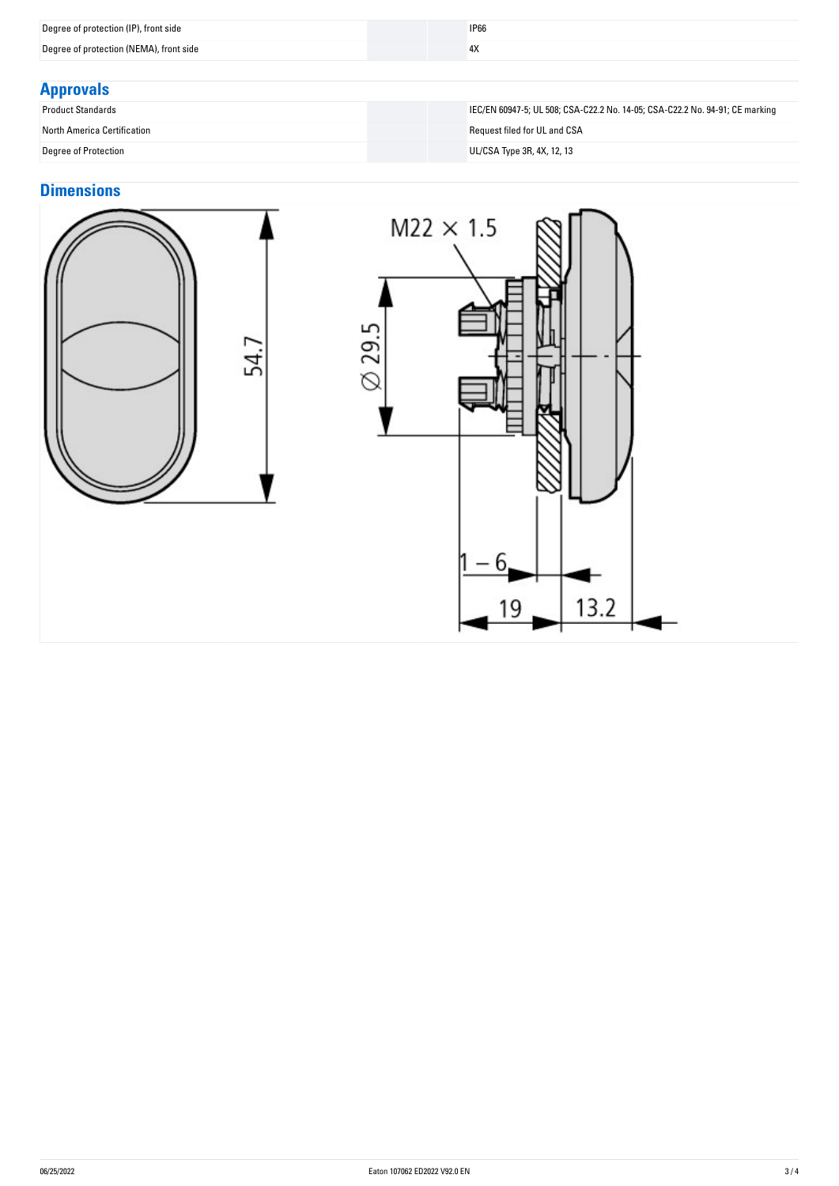| Degree of protection (NEMA), front side<br>4X | Degree of protection (IP), front side | <b>IP66</b> |  |
|-----------------------------------------------|---------------------------------------|-------------|--|
|                                               |                                       |             |  |

## **Approvals**

| <b>Product Standards</b>                                                                                                                                                                                                                                                                         |
|--------------------------------------------------------------------------------------------------------------------------------------------------------------------------------------------------------------------------------------------------------------------------------------------------|
| <b>North America Certification</b>                                                                                                                                                                                                                                                               |
| $\mathbb{R}$ and $\mathbb{R}$ and $\mathbb{R}$ and $\mathbb{R}$ and $\mathbb{R}$ and $\mathbb{R}$ and $\mathbb{R}$ and $\mathbb{R}$ and $\mathbb{R}$ and $\mathbb{R}$ and $\mathbb{R}$ and $\mathbb{R}$ and $\mathbb{R}$ and $\mathbb{R}$ and $\mathbb{R}$ and $\mathbb{R}$ and $\mathbb{R}$ and |

### **Dimensions**



IEC/EN 60947-5; UL 508; CSA-C22.2 No. 14-05; CSA-C22.2 No. 94-91; CE marking Request filed for UL and CSA Degree of Protection UL/CSA Type 3R, 4X, 12, 13